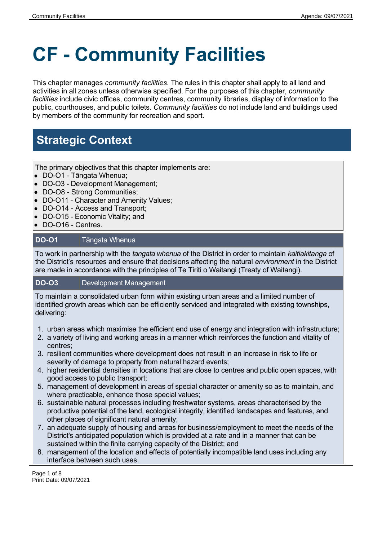# **CF - Community Facilities**

This chapter manages *community facilities*. The rules in this chapter shall apply to all land and activities in all zones unless otherwise specified. For the purposes of this chapter, *community facilities* include civic offices, community centres, community libraries, display of information to the public, courthouses, and public toilets. *Community facilities* do not include land and buildings used by members of the community for recreation and sport.

# **Strategic Context**

The primary objectives that this chapter implements are:

- DO-O1 Tāngata Whenua;
- DO-O3 Development Management;
- DO-O8 Strong Communities;
- **DO-O11 Character and Amenity Values;**
- DO-O14 Access and Transport;
- DO-O15 Economic Vitality; and
- DO-O16 Centres.

### **DO-O1** Tāngata Whenua

To work in partnership with the *tangata whenua* of the District in order to maintain *kaitiakitanga* of the District's resources and ensure that decisions affecting the natural *environment* in the District are made in accordance with the principles of Te Tiriti o Waitangi (Treaty of Waitangi).

#### **DO-O3** Development Management

To maintain a consolidated urban form within existing urban areas and a limited number of identified growth areas which can be efficiently serviced and integrated with existing townships, delivering:

- 1. urban areas which maximise the efficient end use of energy and integration with infrastructure;
- 2. a variety of living and working areas in a manner which reinforces the function and vitality of centres;
- 3. resilient communities where development does not result in an increase in risk to life or severity of damage to property from natural hazard events;
- 4. higher residential densities in locations that are close to centres and public open spaces, with good access to public transport;
- 5. management of development in areas of special character or amenity so as to maintain, and where practicable, enhance those special values;
- 6. sustainable natural processes including freshwater systems, areas characterised by the productive potential of the land, ecological integrity, identified landscapes and features, and other places of significant natural amenity;
- 7. an adequate supply of housing and areas for business/employment to meet the needs of the District's anticipated population which is provided at a rate and in a manner that can be sustained within the finite carrying capacity of the District; and
- 8. management of the location and effects of potentially incompatible land uses including any interface between such uses.

Page 1 of 8 Print Date: 09/07/2021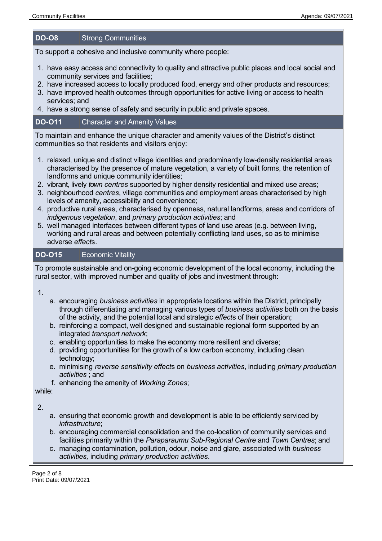#### **DO-O8** Strong Communities

To support a cohesive and inclusive community where people:

- 1. have easy access and connectivity to quality and attractive public places and local social and community services and facilities;
- 2. have increased access to locally produced food, energy and other products and resources;
- 3. have improved health outcomes through opportunities for active living or access to health services; and
- 4. have a strong sense of safety and security in public and private spaces.

## **DO-O11** Character and Amenity Values

To maintain and enhance the unique character and amenity values of the District's distinct communities so that residents and visitors enjoy:

- 1. relaxed, unique and distinct village identities and predominantly low-density residential areas characterised by the presence of mature vegetation, a variety of built forms, the retention of landforms and unique community identities;
- 2. vibrant, lively *town centres* supported by higher density residential and mixed use areas;
- 3. neighbourhood *centres*, village communities and employment areas characterised by high levels of amenity, accessibility and convenience;
- 4. productive rural areas, characterised by openness, natural landforms, areas and corridors of *indigenous vegetation*, and *primary production activities*; and
- 5. well managed interfaces between different types of land use areas (e.g. between living, working and rural areas and between potentially conflicting land uses, so as to minimise adverse *effect*s.

#### **DO-O15** Economic Vitality

To promote sustainable and on-going economic development of the local economy, including the rural sector, with improved number and quality of jobs and investment through:

1.

- a. encouraging *business activities* in appropriate locations within the District, principally through differentiating and managing various types of *business activities* both on the basis of the activity, and the potential local and strategic *effect*s of their operation;
- b. reinforcing a compact, well designed and sustainable regional form supported by an integrated *transport network*;
- c. enabling opportunities to make the economy more resilient and diverse;
- d. providing opportunities for the growth of a low carbon economy, including clean technology;
- e. minimising *reverse sensitivity effect*s on *business activities*, including *primary production activities* ; and
- f. enhancing the amenity of *Working Zones*;

while:

2.

- a. ensuring that economic growth and development is able to be efficiently serviced by *infrastructure*;
- b. encouraging commercial consolidation and the co-location of community services and facilities primarily within the *Paraparaumu Sub-Regional Centre* and *Town Centres*; and
- c. managing contamination, pollution, odour, noise and glare, associated with *business activities,* including *primary production activities*.

Page 2 of 8 Print Date: 09/07/2021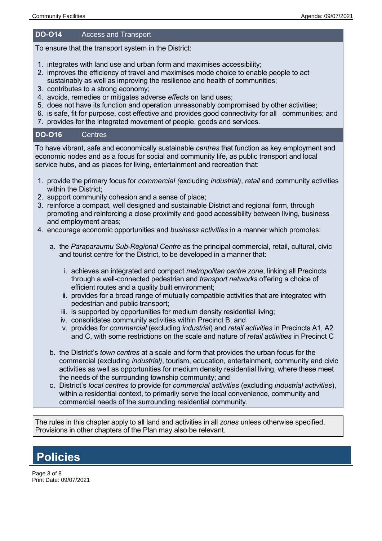#### **DO-O14** Access and Transport

To ensure that the transport system in the District:

- 1. integrates with land use and urban form and maximises accessibility;
- 2. improves the efficiency of travel and maximises mode choice to enable people to act sustainably as well as improving the resilience and health of communities;
- 3. contributes to a strong economy;
- 4. avoids, remedies or mitigates adverse *effect*s on land uses;
- 5. does not have its function and operation unreasonably compromised by other activities;
- 6. is safe, fit for purpose, cost effective and provides good connectivity for all communities; and
- 7. provides for the integrated movement of people, goods and services.

#### **DO-O16** Centres

To have vibrant, safe and economically sustainable *centres* that function as key employment and economic nodes and as a focus for social and community life, as public transport and local service hubs, and as places for living, entertainment and recreation that:

- 1. provide the primary focus for *commercial (*excluding *industrial)*, *retail* and community activities within the District;
- 2. support community cohesion and a sense of place;
- 3. reinforce a compact, well designed and sustainable District and regional form, through promoting and reinforcing a close proximity and good accessibility between living, business and employment areas;
- 4. encourage economic opportunities and *business activities* in a manner which promotes:
	- a. the *Paraparaumu Sub-Regional Centre* as the principal commercial, retail, cultural, civic and tourist centre for the District, to be developed in a manner that:
		- i. achieves an integrated and compact *metropolitan centre zone*, linking all Precincts through a well-connected pedestrian and *transport networks* offering a choice of efficient routes and a quality built environment;
		- ii. provides for a broad range of mutually compatible activities that are integrated with pedestrian and public transport;
		- iii. is supported by opportunities for medium density residential living;
		- iv. consolidates community activities within Precinct B; and
		- v. provides for *commercial* (excluding *industrial*) and *retail activities* in Precincts A1, A2 and C, with some restrictions on the scale and nature of *retail activities* in Precinct C
	- b. the District's *town centres* at a scale and form that provides the urban focus for the commercial (excluding *industrial)*, tourism, education, entertainment, community and civic activities as well as opportunities for medium density residential living, where these meet the needs of the surrounding township community; and
	- c. District's *local centres* to provide for *commercial activities* (excluding *industrial activities*), within a residential context, to primarily serve the local convenience, community and commercial needs of the surrounding residential community.

The rules in this chapter apply to all land and activities in all *zones* unless otherwise specified. Provisions in other chapters of the Plan may also be relevant.

## **Policies**

Page 3 of 8 Print Date: 09/07/2021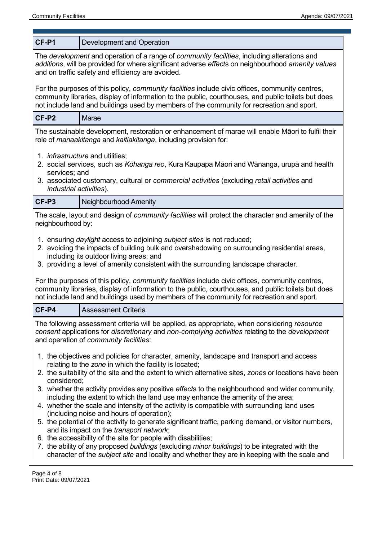| CF-P1                                                                                                                                                                                                                                                 | Development and Operation                                                                                                                                                                                                                                                                                     |  |  |
|-------------------------------------------------------------------------------------------------------------------------------------------------------------------------------------------------------------------------------------------------------|---------------------------------------------------------------------------------------------------------------------------------------------------------------------------------------------------------------------------------------------------------------------------------------------------------------|--|--|
| The development and operation of a range of community facilities, including alterations and<br>additions, will be provided for where significant adverse effects on neighbourhood amenity values<br>and on traffic safety and efficiency are avoided. |                                                                                                                                                                                                                                                                                                               |  |  |
|                                                                                                                                                                                                                                                       | For the purposes of this policy, community facilities include civic offices, community centres,<br>community libraries, display of information to the public, courthouses, and public toilets but does<br>not include land and buildings used by members of the community for recreation and sport.           |  |  |
| CF-P2                                                                                                                                                                                                                                                 | <b>Marae</b>                                                                                                                                                                                                                                                                                                  |  |  |
|                                                                                                                                                                                                                                                       | The sustainable development, restoration or enhancement of marae will enable Māori to fulfil their<br>role of <i>manaakitanga</i> and <i>kaitiakitanga</i> , including provision for:                                                                                                                         |  |  |
| 1. <i>infrastructure</i> and utilities;<br>2. social services, such as Kōhanga reo, Kura Kaupapa Māori and Wānanga, urupā and health<br>services; and                                                                                                 |                                                                                                                                                                                                                                                                                                               |  |  |
| <i>industrial activities).</i>                                                                                                                                                                                                                        | 3. associated customary, cultural or <i>commercial activities</i> (excluding <i>retail activities</i> and                                                                                                                                                                                                     |  |  |
| CF-P3                                                                                                                                                                                                                                                 | Neighbourhood Amenity                                                                                                                                                                                                                                                                                         |  |  |
| neighbourhood by:                                                                                                                                                                                                                                     | The scale, layout and design of <i>community facilities</i> will protect the character and amenity of the                                                                                                                                                                                                     |  |  |
|                                                                                                                                                                                                                                                       | 1. ensuring daylight access to adjoining subject sites is not reduced;<br>2. avoiding the impacts of building bulk and overshadowing on surrounding residential areas,<br>including its outdoor living areas; and<br>3. providing a level of amenity consistent with the surrounding landscape character.     |  |  |
|                                                                                                                                                                                                                                                       | For the purposes of this policy, <i>community facilities</i> include civic offices, community centres,<br>community libraries, display of information to the public, courthouses, and public toilets but does<br>not include land and buildings used by members of the community for recreation and sport.    |  |  |
| CF-P4                                                                                                                                                                                                                                                 | <b>Assessment Criteria</b>                                                                                                                                                                                                                                                                                    |  |  |
|                                                                                                                                                                                                                                                       | The following assessment criteria will be applied, as appropriate, when considering resource<br>consent applications for discretionary and non-complying activities relating to the development<br>and operation of community facilities:                                                                     |  |  |
|                                                                                                                                                                                                                                                       | 1. the objectives and policies for character, amenity, landscape and transport and access<br>relating to the zone in which the facility is located;<br>2. the suitability of the site and the extent to which alternative sites, zones or locations have been                                                 |  |  |
| considered;                                                                                                                                                                                                                                           | 3. whether the activity provides any positive effects to the neighbourhood and wider community,<br>including the extent to which the land use may enhance the amenity of the area;<br>4. whether the scale and intensity of the activity is compatible with surrounding land uses                             |  |  |
|                                                                                                                                                                                                                                                       | (including noise and hours of operation);<br>5. the potential of the activity to generate significant traffic, parking demand, or visitor numbers,                                                                                                                                                            |  |  |
|                                                                                                                                                                                                                                                       | and its impact on the transport network;<br>6. the accessibility of the site for people with disabilities;<br>7. the ability of any proposed buildings (excluding minor buildings) to be integrated with the<br>character of the subject site and locality and whether they are in keeping with the scale and |  |  |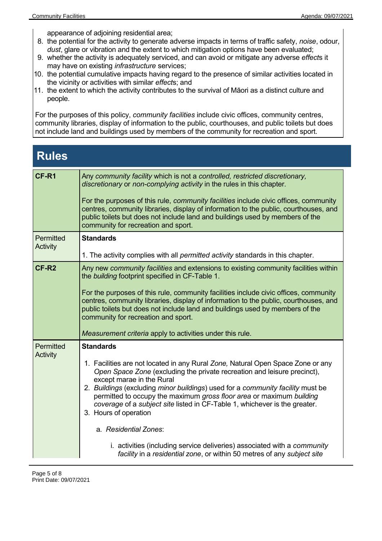appearance of adjoining residential area;

- 8. the potential for the activity to generate adverse impacts in terms of traffic safety, *noise*, odour, *dust*, glare or vibration and the extent to which mitigation options have been evaluated;
- 9. whether the activity is adequately serviced, and can avoid or mitigate any adverse *effect*s it may have on existing *infrastructure* services;
- 10. the potential cumulative impacts having regard to the presence of similar activities located in the vicinity or activities with similar *effect*s; and
- 11. the extent to which the activity contributes to the survival of Māori as a distinct culture and people.

For the purposes of this policy, *community facilities* include civic offices, community centres, community libraries, display of information to the public, courthouses, and public toilets but does not include land and buildings used by members of the community for recreation and sport.

## **Rules**

| CF-R1                        | Any community facility which is not a controlled, restricted discretionary,<br>discretionary or non-complying activity in the rules in this chapter.<br>For the purposes of this rule, <i>community facilities</i> include civic offices, community<br>centres, community libraries, display of information to the public, courthouses, and<br>public toilets but does not include land and buildings used by members of the<br>community for recreation and sport.                                                                                                                                                                                           |
|------------------------------|---------------------------------------------------------------------------------------------------------------------------------------------------------------------------------------------------------------------------------------------------------------------------------------------------------------------------------------------------------------------------------------------------------------------------------------------------------------------------------------------------------------------------------------------------------------------------------------------------------------------------------------------------------------|
| Permitted<br>Activity        | <b>Standards</b><br>1. The activity complies with all <i>permitted activity</i> standards in this chapter.                                                                                                                                                                                                                                                                                                                                                                                                                                                                                                                                                    |
| CF-R <sub>2</sub>            | Any new community facilities and extensions to existing community facilities within<br>the building footprint specified in CF-Table 1.<br>For the purposes of this rule, community facilities include civic offices, community<br>centres, community libraries, display of information to the public, courthouses, and<br>public toilets but does not include land and buildings used by members of the<br>community for recreation and sport.<br>Measurement criteria apply to activities under this rule.                                                                                                                                                   |
| Permitted<br><b>Activity</b> | <b>Standards</b><br>1. Facilities are not located in any Rural Zone, Natural Open Space Zone or any<br>Open Space Zone (excluding the private recreation and leisure precinct),<br>except marae in the Rural<br>2. Buildings (excluding minor buildings) used for a community facility must be<br>permitted to occupy the maximum gross floor area or maximum building<br>coverage of a subject site listed in CF-Table 1, whichever is the greater.<br>3. Hours of operation<br>a. Residential Zones:<br>i. activities (including service deliveries) associated with a community<br>facility in a residential zone, or within 50 metres of any subject site |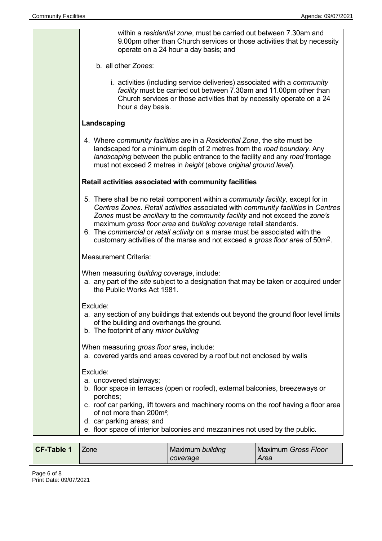| within a residential zone, must be carried out between 7.30am and<br>9.00pm other than Church services or those activities that by necessity<br>operate on a 24 hour a day basis; and                                                                                                                                                                                                                                                                                                                       |
|-------------------------------------------------------------------------------------------------------------------------------------------------------------------------------------------------------------------------------------------------------------------------------------------------------------------------------------------------------------------------------------------------------------------------------------------------------------------------------------------------------------|
| b. all other Zones:                                                                                                                                                                                                                                                                                                                                                                                                                                                                                         |
| i. activities (including service deliveries) associated with a community<br>facility must be carried out between 7.30am and 11.00pm other than<br>Church services or those activities that by necessity operate on a 24<br>hour a day basis.                                                                                                                                                                                                                                                                |
| Landscaping                                                                                                                                                                                                                                                                                                                                                                                                                                                                                                 |
| 4. Where community facilities are in a Residential Zone, the site must be<br>landscaped for a minimum depth of 2 metres from the road boundary. Any<br>landscaping between the public entrance to the facility and any road frontage<br>must not exceed 2 metres in height (above original ground level).                                                                                                                                                                                                   |
| Retail activities associated with community facilities                                                                                                                                                                                                                                                                                                                                                                                                                                                      |
| 5. There shall be no retail component within a <i>community facility</i> , except for in<br>Centres Zones. Retail activities associated with community facilities in Centres<br>Zones must be ancillary to the community facility and not exceed the zone's<br>maximum gross floor area and building coverage retail standards.<br>6. The commercial or retail activity on a marae must be associated with the<br>customary activities of the marae and not exceed a gross floor area of 50m <sup>2</sup> . |
| <b>Measurement Criteria:</b>                                                                                                                                                                                                                                                                                                                                                                                                                                                                                |
| When measuring building coverage, include:<br>a. any part of the site subject to a designation that may be taken or acquired under<br>the Public Works Act 1981.                                                                                                                                                                                                                                                                                                                                            |
| Exclude:<br>a. any section of any buildings that extends out beyond the ground floor level limits<br>of the building and overhangs the ground.<br>b. The footprint of any minor building                                                                                                                                                                                                                                                                                                                    |
| When measuring gross floor area, include:<br>a. covered yards and areas covered by a roof but not enclosed by walls                                                                                                                                                                                                                                                                                                                                                                                         |
| Exclude:<br>a. uncovered stairways;<br>b. floor space in terraces (open or roofed), external balconies, breezeways or<br>porches;<br>c. roof car parking, lift towers and machinery rooms on the roof having a floor area<br>of not more than 200m <sup>2</sup> ;<br>d. car parking areas; and<br>e. floor space of interior balconies and mezzanines not used by the public.                                                                                                                               |

| <b>CF-Table 1</b> | L <sub>Z</sub> one | Maximum building | Maximum Gross Floor |
|-------------------|--------------------|------------------|---------------------|
|                   |                    | coverage         | Area                |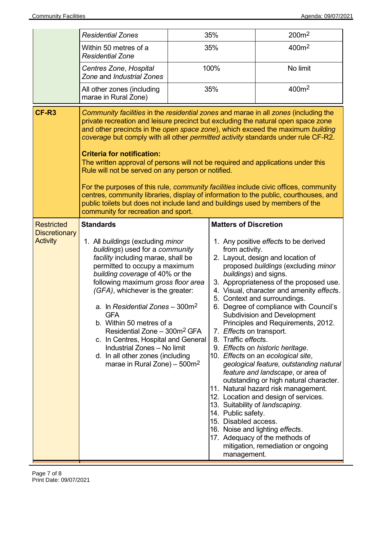|                                                              | <b>Residential Zones</b>                                                                                                                                                                                                                                                                                                                                                                                                                                                                                                                                                                                                                                                                                                                                                                                                               | 35% |                                                                                                                                                                                         | 200m <sup>2</sup>                                                                                                                                                                                                                                                                                                                                                                                                                                                                                                                                                                                                                                                                                                                                                                                |
|--------------------------------------------------------------|----------------------------------------------------------------------------------------------------------------------------------------------------------------------------------------------------------------------------------------------------------------------------------------------------------------------------------------------------------------------------------------------------------------------------------------------------------------------------------------------------------------------------------------------------------------------------------------------------------------------------------------------------------------------------------------------------------------------------------------------------------------------------------------------------------------------------------------|-----|-----------------------------------------------------------------------------------------------------------------------------------------------------------------------------------------|--------------------------------------------------------------------------------------------------------------------------------------------------------------------------------------------------------------------------------------------------------------------------------------------------------------------------------------------------------------------------------------------------------------------------------------------------------------------------------------------------------------------------------------------------------------------------------------------------------------------------------------------------------------------------------------------------------------------------------------------------------------------------------------------------|
|                                                              | Within 50 metres of a<br><b>Residential Zone</b>                                                                                                                                                                                                                                                                                                                                                                                                                                                                                                                                                                                                                                                                                                                                                                                       |     | 35%                                                                                                                                                                                     | 400m <sup>2</sup>                                                                                                                                                                                                                                                                                                                                                                                                                                                                                                                                                                                                                                                                                                                                                                                |
|                                                              | Centres Zone, Hospital<br>Zone and Industrial Zones                                                                                                                                                                                                                                                                                                                                                                                                                                                                                                                                                                                                                                                                                                                                                                                    |     | 100%                                                                                                                                                                                    | No limit                                                                                                                                                                                                                                                                                                                                                                                                                                                                                                                                                                                                                                                                                                                                                                                         |
|                                                              | All other zones (including<br>marae in Rural Zone)                                                                                                                                                                                                                                                                                                                                                                                                                                                                                                                                                                                                                                                                                                                                                                                     |     | 35%                                                                                                                                                                                     | 400m <sup>2</sup>                                                                                                                                                                                                                                                                                                                                                                                                                                                                                                                                                                                                                                                                                                                                                                                |
| CF-R <sub>3</sub>                                            | Community facilities in the residential zones and marae in all zones (including the<br>private recreation and leisure precinct but excluding the natural open space zone<br>and other precincts in the open space zone), which exceed the maximum building<br>coverage but comply with all other permitted activity standards under rule CF-R2.<br><b>Criteria for notification:</b><br>The written approval of persons will not be required and applications under this<br>Rule will not be served on any person or notified.<br>For the purposes of this rule, community facilities include civic offices, community<br>centres, community libraries, display of information to the public, courthouses, and<br>public toilets but does not include land and buildings used by members of the<br>community for recreation and sport. |     |                                                                                                                                                                                         |                                                                                                                                                                                                                                                                                                                                                                                                                                                                                                                                                                                                                                                                                                                                                                                                  |
| <b>Restricted</b><br><b>Discretionary</b><br><b>Activity</b> | <b>Standards</b><br>1. All buildings (excluding minor<br>buildings) used for a community<br>facility including marae, shall be<br>permitted to occupy a maximum<br>building coverage of 40% or the<br>following maximum gross floor area<br>(GFA), whichever is the greater:<br>a. In Residential Zones - 300m <sup>2</sup><br><b>GFA</b><br>b. Within 50 metres of a<br>Residential Zone - 300m <sup>2</sup> GFA<br>c. In Centres, Hospital and General<br>Industrial Zones - No limit<br>d. In all other zones (including<br>marae in Rural Zone) – $500m^2$                                                                                                                                                                                                                                                                         |     | <b>Matters of Discretion</b><br>from activity.<br>buildings) and signs.<br>7. Effects on transport.<br>8. Traffic effects.<br>14. Public safety.<br>15. Disabled access.<br>management. | 1. Any positive effects to be derived<br>2. Layout, design and location of<br>proposed buildings (excluding minor<br>3. Appropriateness of the proposed use.<br>4. Visual, character and amenity effects.<br>5. Context and surroundings.<br>6. Degree of compliance with Council's<br><b>Subdivision and Development</b><br>Principles and Requirements, 2012.<br>9. Effects on historic heritage.<br>10. Effects on an ecological site,<br>geological feature, outstanding natural<br>feature and landscape, or area of<br>outstanding or high natural character.<br>11. Natural hazard risk management.<br>12. Location and design of services.<br>13. Suitability of landscaping.<br>16. Noise and lighting effects.<br>17. Adequacy of the methods of<br>mitigation, remediation or ongoing |

Page 7 of 8 Print Date: 09/07/2021